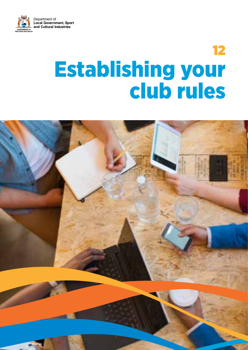

# 12 Establishing your club rules

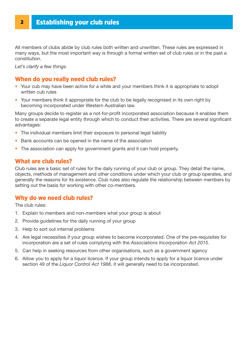All members of clubs abide by club rules both written and unwritten. These rules are expressed in many ways, but the most important way is through a formal written set of club rules or in the past a constitution.

*Let's clarify a few things.*

## When do you really need club rules?

- Your cub may have been active for a while and your members think it is appropriate to adopt written cub rules
- Your members think it appropriate for the club to be legally recognised in its own right by becoming incorporated under Western Australian law.

Many groups decide to register as a not-for-profit incorporated association because it enables them to create a separate legal entity through which to conduct their activities. There are several significant advantages:

- The individual members limit their exposure to personal legal liability
- Bank accounts can be opened in the name of the association
- The association can apply for government grants and it can hold property.

## What are club rules?

Club rules are a basic set of rules for the daily running of your club or group. They detail the name, objects, methods of management and other conditions under which your club or group operates, and generally the reasons for its existence. Club rules also regulate the relationship between members by setting out the basis for working with other co-members.

## Why do we need club rules?

The club rules:

- 1. Explain to members and non-members what your group is about
- 2. Provide guidelines for the daily running of your group
- 3. Help to sort out internal problems
- 4. Are legal necessities if your group wishes to become incorporated. One of the pre-requisites for incorporation are a set of rules complying with the *Associations Incorporation Act 2015*.
- 5. Can help in seeking resources from other organisations, such as a government agency
- 6. AlIow you to apply for a liquor licence. If your group intends to apply for a liquor licence under section 49 of the *Liquor Control Act 1988*, it will generally need to be incorporated.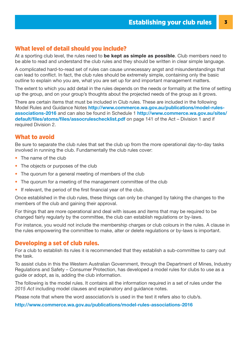## What level of detail should you include?

At a sporting club level, the rules need to **be kept as simple as possible**. Club members need to be able to read and understand the club rules and they should be written in clear simple language.

A complicated hard-to-read set of rules can cause unnecessary angst and misunderstandings that can lead to conflict. In fact, the club rules should be extremely simple, containing only the basic outline to explain who you are, what you are set up for and important management matters.

The extent to which you add detail in the rules depends on the needs or formality at the time of setting up the group, and on your group's thoughts about the projected needs of the group as it grows.

There are certain items that must be included in Club rules. These are included in the following Model Rules and Guidance Notes [http://www.commerce.wa.gov.au/publications/model-rules](http://www.commerce.wa.gov.au/publications/model-rules-associations-2016)[associations-2016](http://www.commerce.wa.gov.au/publications/model-rules-associations-2016) and can also be found in Schedule 1 [http://www.commerce.wa.gov.au/sites/](http://www.commerce.wa.gov.au/sites/default/files/atoms/files/assocruleschecklist.pdf) [default/files/atoms/files/assocruleschecklist.pdf](http://www.commerce.wa.gov.au/sites/default/files/atoms/files/assocruleschecklist.pdf) on page 141 of the Act – Division 1 and if required Division 2.

## What to avoid

Be sure to separate the club rules that set the club up from the more operational day-to-day tasks involved in running the club. Fundamentally the club rules cover:

- The name of the club
- The objects or purposes of the club
- The quorum for a general meeting of members of the club
- The quorum for a meeting of the management committee of the club
- If relevant, the period of the first financial year of the club.

Once established in the club rules, these things can only be changed by taking the changes to the members of the club and gaining their approval.

For things that are more operational and deal with issues and items that may be required to be changed fairly regularly by the committee, the club can establish regulations or by-laws.

For instance, you would not include the membership charges or club colours in the rules. A clause in the rules empowering the committee to make, alter or delete regulations or by-laws is important.

## Developing a set of club rules.

For a club to establish its rules it is recommended that they establish a sub-committee to carry out the task.

To assist clubs in this the Western Australian Government, through the Department of Mines, Industry Regulations and Safety – Consumer Protection, has developed a model rules for clubs to use as a guide or adopt, as is, adding the club information.

The following is the model rules. It contains all the information required in a set of rules under the *2015 Act* including model clauses and explanatory and guidance notes.

Please note that where the word association/s is used in the text it refers also to club/s.

#### <http://www.commerce.wa.gov.au/publications/model-rules-associations-2016>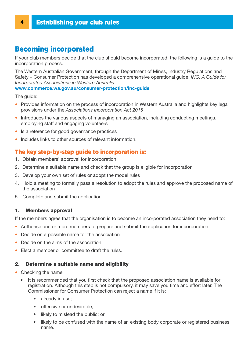# Becoming incorporated

If your club members decide that the club should become incorporated, the following is a guide to the incorporation process.

The Western Australian Government, through the Department of Mines, Industry Regulations and Safety – Consumer Protection has developed a comprehensive operational guide, *INC. A Guide for Incorporated Associations in Western Australia*.

### [www.commerce.wa.gov.au/consumer-protection/inc-guide](http://www.commerce.wa.gov.au/consumer-protection/inc-guide)

The guide:

- Provides information on the process of incorporation in Western Australia and highlights key legal provisions under the *Associations Incorporation Act 2015*
- Introduces the various aspects of managing an association, including conducting meetings, employing staff and engaging volunteers
- Is a reference for good governance practices
- Includes links to other sources of relevant information.

## The key step-by-step guide to incorporation is:

- 1. Obtain members' approval for incorporation
- 2. Determine a suitable name and check that the group is eligible for incorporation
- 3. Develop your own set of rules or adopt the model rules
- 4. Hold a meeting to formally pass a resolution to adopt the rules and approve the proposed name of the association
- 5. Complete and submit the application.

#### 1. Members approval

If the members agree that the organisation is to become an incorporated association they need to:

- Authorise one or more members to prepare and submit the application for incorporation
- Decide on a possible name for the association
- Decide on the aims of the association
- Elect a member or committee to draft the rules.

#### 2. Determine a suitable name and eligibility

- Checking the name
	- It is recommended that you first check that the proposed association name is available for registration. Although this step is not compulsory, it may save you time and effort later. The Commissioner for Consumer Protection can reject a name if it is:
		- already in use;
		- offensive or undesirable;
		- likely to mislead the public; or
		- likely to be confused with the name of an existing body corporate or registered business name.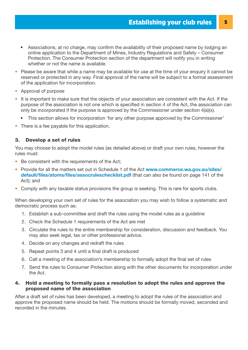- Associations, at no charge, may confirm the availability of their proposed name by lodging an online application to the Department of Mines, Industry Regulations and Safety – Consumer Protection. The Consumer Protection section of the department will notify you in writing whether or not the name is available.
- Please be aware that while a name may be available for use at the time of your enquiry it cannot be reserved or protected in any way. Final approval of the name will be subject to a formal assessment of the application for incorporation.
- Approval of purpose
- It is important to make sure that the objects of your association are consistent with the Act. If the purpose of the association is not one which is specified in section 4 of the Act, the association can only be incorporated if the purpose is approved by the Commissioner under section 4(a)(x).
	- This section allows for incorporation 'for any other purpose approved by the Commissioner'
- There is a fee payable for this application.

### 3. Develop a set of rules

You may choose to adopt the model rules (as detailed above) or draft your own rules, however the rules must:

- Be consistent with the requirements of the Act;
- Provide for all the matters set out in Schedule 1 of the Act [www.commerce.wa.gov.au/sites/](http://www.commerce.wa.gov.au/sites/default/files/atoms/files/assocruleschecklist.pdf) [default/files/atoms/files/assocruleschecklist.pdf](http://www.commerce.wa.gov.au/sites/default/files/atoms/files/assocruleschecklist.pdf) (that can also be found on page 141 of the Act); and
- Comply with any taxable status provisions the group is seeking. This is rare for sports clubs.

When developing your own set of rules for the association you may wish to follow a systematic and democratic process such as:

- 1. Establish a sub-committee and draft the rules using the model rules as a guideline
- 2. Check the Schedule 1 requirements of the Act are met
- 3. Circulate the rules to the entire membership for consideration, discussion and feedback. You may also seek legal, tax or other professional advice.
- 4. Decide on any changes and redraft the rules
- 5. Repeat points 3 and 4 until a final draft is produced
- 6. Call a meeting of the association's membership to formally adopt the final set of rules
- 7. Send the rules to Consumer Protection along with the other documents for incorporation under the Act.

#### 4. Hold a meeting to formally pass a resolution to adopt the rules and approve the proposed name of the association

After a draft set of rules has been developed, a meeting to adopt the rules of the association and approve the proposed name should be held. The motions should be formally moved, seconded and recorded in the minutes.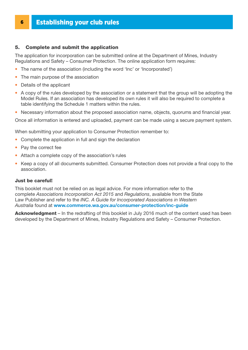# **6 Establishing your club rules**

#### 5. Complete and submit the application

The application for incorporation can be submitted online at the Department of Mines, Industry Regulations and Safety – Consumer Protection. The online application form requires:

- The name of the association (including the word 'Inc' or 'Incorporated')
- The main purpose of the association
- Details of the applicant
- A copy of the rules developed by the association or a statement that the group will be adopting the Model Rules. If an association has developed its own rules it will also be required to complete a table identifying the Schedule 1 matters within the rules.
- Necessary information about the proposed association name, objects, quorums and financial year.

Once all information is entered and uploaded, payment can be made using a secure payment system.

When submitting your application to Consumer Protection remember to:

- Complete the application in full and sign the declaration
- Pay the correct fee
- Attach a complete copy of the association's rules
- Keep a copy of all documents submitted. Consumer Protection does not provide a final copy to the association.

#### Just be careful!

This booklet must not be relied on as legal advice. For more information refer to the complete *Associations Incorporation Act 2015* and *Regulations*, available from the State Law Publisher and refer to the *INC. A Guide for Incorporated Associations in Western Australia* found at [www.commerce.wa.gov.au/consumer-protection/inc-guide](https://www.commerce.wa.gov.au/consumer-protection/inc-guide)

Acknowledgment – In the redrafting of this booklet in July 2016 much of the content used has been developed by the Department of Mines, Industry Regulations and Safety – Consumer Protection.